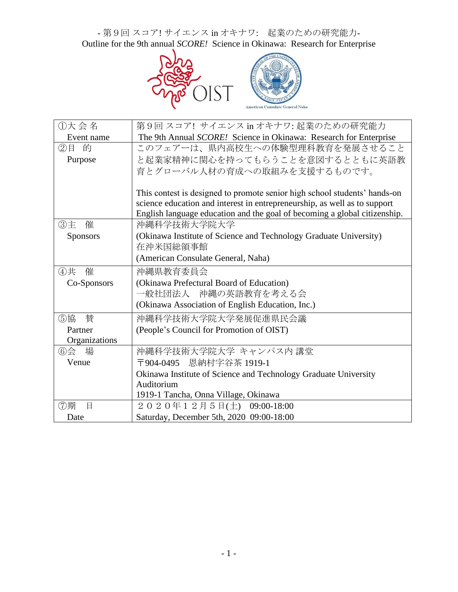- 第9回 スコア! サイエンス in オキナワ: 起業のための研究能力-Outline for the 9th annual *SCORE!* Science in Okinawa: Research for Enterprise



| ①大会名            | 第9回 スコア! サイエンス in オキナワ: 起業のための研究能力                                        |
|-----------------|---------------------------------------------------------------------------|
| Event name      | The 9th Annual SCORE! Science in Okinawa: Research for Enterprise         |
| ②目 的            | このフェアーは、県内高校生への体験型理科教育を発展させること                                            |
| Purpose         | と起業家精神に関心を持ってもらうことを意図するとともに英語教                                            |
|                 | 育とグローバル人材の育成への取組みを支援するものです。                                               |
|                 |                                                                           |
|                 | This contest is designed to promote senior high school students' hands-on |
|                 | science education and interest in entrepreneurship, as well as to support |
|                 | English language education and the goal of becoming a global citizenship. |
| 催<br>③主         | 沖縄科学技術大学院大学                                                               |
| <b>Sponsors</b> | (Okinawa Institute of Science and Technology Graduate University)         |
|                 | 在沖米国総領事館                                                                  |
|                 | (American Consulate General, Naha)                                        |
| 催<br>④共         | 沖縄県教育委員会                                                                  |
| Co-Sponsors     | (Okinawa Prefectural Board of Education)                                  |
|                 | 一般社団法人 沖縄の英語教育を考える会                                                       |
|                 | (Okinawa Association of English Education, Inc.)                          |
| ⑤協<br>賛         | 沖縄科学技術大学院大学発展促進県民会議                                                       |
| Partner         | (People's Council for Promotion of OIST)                                  |
| Organizations   |                                                                           |
| ⑥会<br>場         | 沖縄科学技術大学院大学 キャンパス内 講堂                                                     |
| Venue           | 〒904-0495 恩納村字谷茶 1919-1                                                   |
|                 | Okinawa Institute of Science and Technology Graduate University           |
|                 | Auditorium                                                                |
|                 | 1919-1 Tancha, Onna Village, Okinawa                                      |
| ⑦期<br>日         | 2020年12月5日(土) 09:00-18:00                                                 |
| Date            | Saturday, December 5th, 2020 09:00-18:00                                  |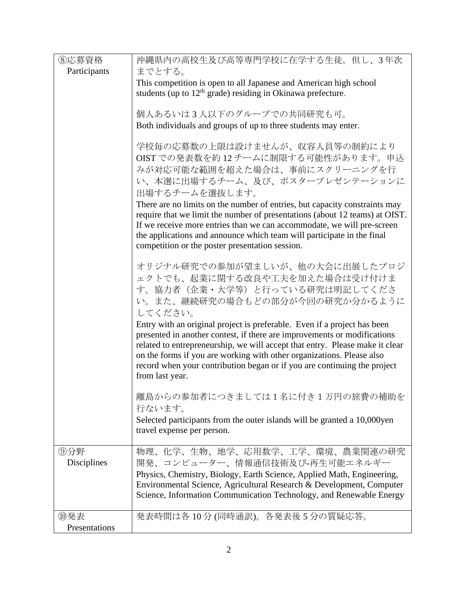| 8応募資格         | 沖縄県内の高校生及び高等専門学校に在学する生徒。但し、3年次                                                                                                                            |
|---------------|-----------------------------------------------------------------------------------------------------------------------------------------------------------|
| Participants  | までとする。                                                                                                                                                    |
|               | This competition is open to all Japanese and American high school                                                                                         |
|               | students (up to $12th$ grade) residing in Okinawa prefecture.                                                                                             |
|               | 個人あるいは3人以下のグループでの共同研究も可。                                                                                                                                  |
|               | Both individuals and groups of up to three students may enter.                                                                                            |
|               |                                                                                                                                                           |
|               | 学校毎の応募数の上限は設けませんが、収容人員等の制約により                                                                                                                             |
|               | OIST での発表数を約12チームに制限する可能性があります。申込                                                                                                                         |
|               | みが対応可能な範囲を超えた場合は、事前にスクリーニングを行                                                                                                                             |
|               | い、本選に出場するチーム、及び、ポスタープレゼンテーションに                                                                                                                            |
|               | 出場するチームを選抜します。                                                                                                                                            |
|               | There are no limits on the number of entries, but capacity constraints may<br>require that we limit the number of presentations (about 12 teams) at OIST. |
|               | If we receive more entries than we can accommodate, we will pre-screen                                                                                    |
|               | the applications and announce which team will participate in the final                                                                                    |
|               | competition or the poster presentation session.                                                                                                           |
|               |                                                                                                                                                           |
|               | オリジナル研究での参加が望ましいが、他の大会に出展したプロジ                                                                                                                            |
|               | ェクトでも、起業に関する改良や工夫を加えた場合は受け付けま<br>す。協力者(企業・大学等)と行っている研究は明記してくださ                                                                                            |
|               | い。また、継続研究の場合もどの部分が今回の研究か分かるように                                                                                                                            |
|               | してください。                                                                                                                                                   |
|               | Entry with an original project is preferable. Even if a project has been                                                                                  |
|               | presented in another contest, if there are improvements or modifications                                                                                  |
|               | related to entrepreneurship, we will accept that entry. Please make it clear                                                                              |
|               | on the forms if you are working with other organizations. Please also                                                                                     |
|               | record when your contribution began or if you are continuing the project<br>from last year.                                                               |
|               |                                                                                                                                                           |
|               | 離島からの参加者につきましては1名に付き1万円の旅費の補助を                                                                                                                            |
|               | 行ないます。                                                                                                                                                    |
|               | Selected participants from the outer islands will be granted a 10,000yen                                                                                  |
|               | travel expense per person.                                                                                                                                |
| ⑨分野           | 物理、化学、生物、地学、応用数学、工学、環境、農業関連の研究                                                                                                                            |
| Disciplines   | 開発、コンピューター、情報通信技術及び-再生可能エネルギー                                                                                                                             |
|               | Physics, Chemistry, Biology, Earth Science, Applied Math, Engineering,                                                                                    |
|               | Environmental Science, Agricultural Research & Development, Computer                                                                                      |
|               | Science, Information Communication Technology, and Renewable Energy                                                                                       |
| ⑩発表           | 発表時間は各10分(同時通訳)。各発表後5分の質疑応答。                                                                                                                              |
| Presentations |                                                                                                                                                           |
|               |                                                                                                                                                           |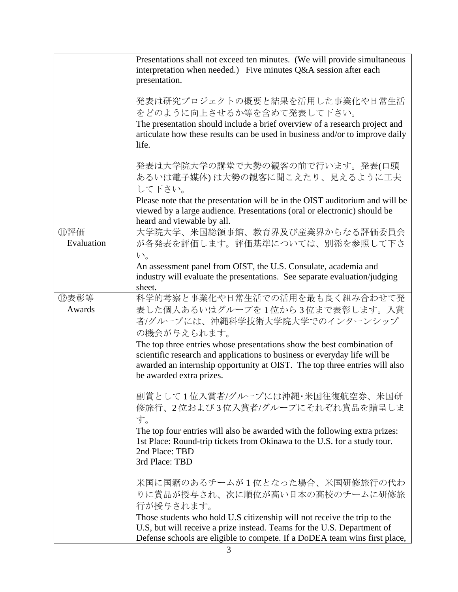|            | Presentations shall not exceed ten minutes. (We will provide simultaneous<br>interpretation when needed.) Five minutes Q&A session after each<br>presentation.                                                                                                |
|------------|---------------------------------------------------------------------------------------------------------------------------------------------------------------------------------------------------------------------------------------------------------------|
|            |                                                                                                                                                                                                                                                               |
|            | 発表は研究プロジェクトの概要と結果を活用した事業化や日常生活<br>をどのように向上させるか等を含めて発表して下さい。                                                                                                                                                                                                   |
|            | The presentation should include a brief overview of a research project and                                                                                                                                                                                    |
|            | articulate how these results can be used in business and/or to improve daily                                                                                                                                                                                  |
|            | life.                                                                                                                                                                                                                                                         |
|            | 発表は大学院大学の講堂で大勢の観客の前で行います。発表(口頭                                                                                                                                                                                                                                |
|            | あるいは電子媒体)は大勢の観客に聞こえたり、見えるように工夫                                                                                                                                                                                                                                |
|            | して下さい。                                                                                                                                                                                                                                                        |
|            | Please note that the presentation will be in the OIST auditorium and will be                                                                                                                                                                                  |
|            | viewed by a large audience. Presentations (oral or electronic) should be                                                                                                                                                                                      |
|            | heard and viewable by all.                                                                                                                                                                                                                                    |
| ⑪評価        | 大学院大学、米国総領事館、教育界及び産業界からなる評価委員会                                                                                                                                                                                                                                |
| Evaluation | が各発表を評価します。評価基準については、別添を参照して下さ                                                                                                                                                                                                                                |
|            | $V_{0}$                                                                                                                                                                                                                                                       |
|            | An assessment panel from OIST, the U.S. Consulate, academia and                                                                                                                                                                                               |
|            | industry will evaluate the presentations. See separate evaluation/judging                                                                                                                                                                                     |
|            | sheet.                                                                                                                                                                                                                                                        |
| ⑫表彰等       | 科学的考察と事業化や日常生活での活用を最も良く組み合わせて発                                                                                                                                                                                                                                |
| Awards     | 表した個人あるいはグループを1位から3位まで表彰します。入賞<br>者/グループには、沖縄科学技術大学院大学でのインターンシップ                                                                                                                                                                                              |
|            | の機会が与えられます。                                                                                                                                                                                                                                                   |
|            | The top three entries whose presentations show the best combination of<br>scientific research and applications to business or everyday life will be<br>awarded an internship opportunity at OIST. The top three entries will also<br>be awarded extra prizes. |
|            |                                                                                                                                                                                                                                                               |
|            | 副賞として1位入賞者/グループには沖縄・米国往復航空券、米国研<br>修旅行、2位および3位入賞者/グループにそれぞれ賞品を贈呈しま<br>す。                                                                                                                                                                                      |
|            | The top four entries will also be awarded with the following extra prizes:                                                                                                                                                                                    |
|            | 1st Place: Round-trip tickets from Okinawa to the U.S. for a study tour.<br>2nd Place: TBD<br>3rd Place: TBD                                                                                                                                                  |
|            |                                                                                                                                                                                                                                                               |
|            | 米国に国籍のあるチームが1位となった場合、米国研修旅行の代わ<br>りに賞品が授与され、次に順位が高い日本の高校のチームに研修旅                                                                                                                                                                                              |
|            | 行が授与されます。                                                                                                                                                                                                                                                     |
|            | Those students who hold U.S citizenship will not receive the trip to the<br>U.S, but will receive a prize instead. Teams for the U.S. Department of                                                                                                           |
|            | Defense schools are eligible to compete. If a DoDEA team wins first place,                                                                                                                                                                                    |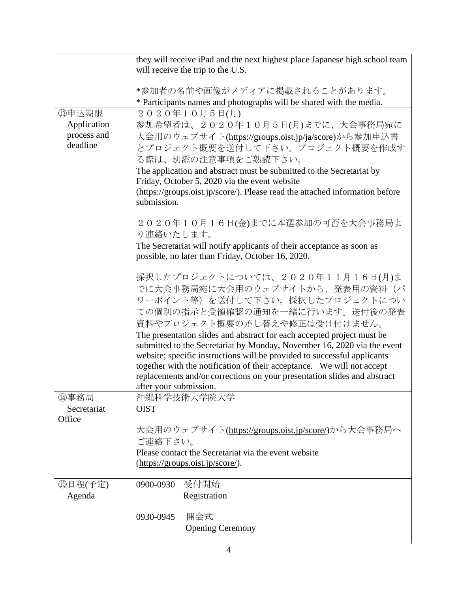|                         | they will receive iPad and the next highest place Japanese high school team<br>will receive the trip to the U.S.                                   |
|-------------------------|----------------------------------------------------------------------------------------------------------------------------------------------------|
|                         | *参加者の名前や画像がメディアに掲載されることがあります。                                                                                                                      |
|                         | * Participants names and photographs will be shared with the media.                                                                                |
| 13申込期限                  | 2020年10月5日(月)                                                                                                                                      |
| Application             | 参加希望者は、2020年10月5日(月)までに、大会事務局宛に                                                                                                                    |
| process and<br>deadline | 大会用のウェブサイト(https://groups.oist.jp/ja/score)から参加申込書<br>とプロジェクト概要を送付して下さい。プロジェクト概要を作成す                                                               |
|                         | る際は、別添の注意事項をご熟読下さい。                                                                                                                                |
|                         | The application and abstract must be submitted to the Secretariat by<br>Friday, October 5, 2020 via the event website                              |
|                         | (https://groups.oist.jp/score/). Please read the attached information before                                                                       |
|                         | submission.                                                                                                                                        |
|                         | 2020年10月16日(金)までに本選参加の可否を大会事務局よ<br>り連絡いたします。                                                                                                       |
|                         | The Secretariat will notify applicants of their acceptance as soon as<br>possible, no later than Friday, October 16, 2020.                         |
|                         | 採択したプロジェクトについては、2020年11月16日(月)ま                                                                                                                    |
|                         | でに大会事務局宛に大会用のウェブサイトから、発表用の資料(パ<br>ワーポイント等)を送付して下さい。採択したプロジェクトについ                                                                                   |
|                         | ての個別の指示と受領確認の通知を一緒に行います。送付後の発表<br>資料やプロジェクト概要の差し替えや修正は受け付けません。                                                                                     |
|                         | The presentation slides and abstract for each accepted project must be<br>submitted to the Secretariat by Monday, November 16, 2020 via the event  |
|                         | website; specific instructions will be provided to successful applicants<br>together with the notification of their acceptance. We will not accept |
|                         | replacements and/or corrections on your presentation slides and abstract<br>after your submission.                                                 |
| ⑭事務局                    | 沖縄科学技術大学院大学                                                                                                                                        |
| Secretariat<br>Office   | <b>OIST</b>                                                                                                                                        |
|                         | 大会用のウェブサイト(https://groups.oist.jp/score/)から大会事務局へ<br>ご連絡下さい。                                                                                       |
|                         | Please contact the Secretariat via the event website                                                                                               |
|                         | (https://groups.oist.jp/score/).                                                                                                                   |
| 15日程(予定)                | 受付開始<br>0900-0930                                                                                                                                  |
| Agenda                  | Registration                                                                                                                                       |
|                         | 開会式<br>0930-0945                                                                                                                                   |
|                         | <b>Opening Ceremony</b>                                                                                                                            |
|                         |                                                                                                                                                    |